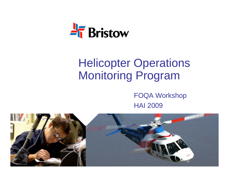

# Helicopter Operations Monitoring Program

FOQA Workshop HAI 2009

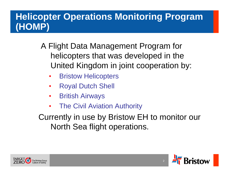### **Helicopter Operations Monitoring Program (HOMP)**

- A Flight Data Management Program for helicopters that was developed in the United Kingdom in joint cooperation by:
	- •Bristow Helicopters
	- •Royal Dutch Shell
	- $\bullet$ British Airways
	- •The Civil Aviation Authority

Currently in use by Bristow EH to monitor our North Sea flight operations.



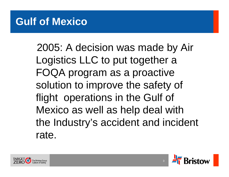# **Gulf of Mexico**

2005: A decision was made by Air Logistics LLC to put together a FOQA program as a proactive solution to improve the safety of flight operations in the Gulf of Mexico as well as help deal with the Industry's accident and incident rate.



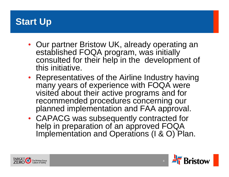### **Start Up**

- Our partner Bristow UK, already operating an established FOQA program, was initially consulted for their help in the development of this initiative.
- Representatives of the Airline Industry having many years of experience with FOQA were visited about their active programs and for recommended procedures concerning our planned implementation and FAA approval.
- CAPACG was subsequently contracted for help in preparation of an approved FOQA Implementation and Operations (I & O) Plan.



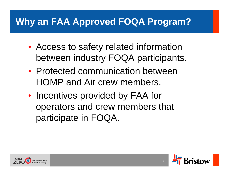### **Why an FAA Approved FOQA Program?**

- $\bullet$  Access to safety related information between industry FOQA participants.
- Protected communication between HOMP and Air crew members.
- •• Incentives provided by FAA for operators and crew members that participate in FOQA.



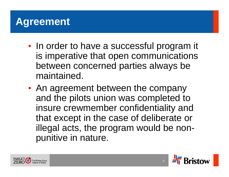# **Agreement**

- $\bullet$ • In order to have a successful program it is imperative that open communications between concerned parties always be maintained.
- $\bullet$  An agreement between the company and the pilots union was completed to insure crewmember confidentiality and that except in the case of deliberate or illegal acts, the program would be nonpunitive in nature.



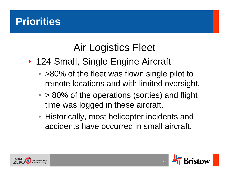# **Priorities**

# Air Logistics Fleet

- $\bullet$ • 124 Small, Single Engine Aircraft
	- >80% of the fleet was flown single pilot to remote locations and with limited oversight.
	- > 80% of the operations (sorties) and flight time was logged in these aircraft.
	- Historically, most helicopter incidents and accidents have occurred in small aircraft.



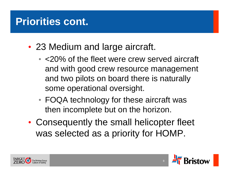# **Priorities cont.**

- $\bullet$  23 Medium and large aircraft.
	- <20% of the fleet were crew served aircraft and with good crew resource management and two pilots on board there is naturally some operational oversight.
	- FOQA technology for these aircraft was then incomplete but on the horizon.
- $\bullet$  Consequently the small helicopter fleet was selected as a priority for HOMP.



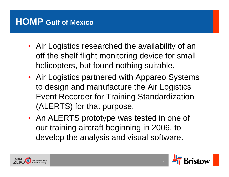### **HOMP Gulf of Mexico**

- Air Logistics researched the availability of an off the shelf flight monitoring device for small helicopters, but found nothing suitable.
- Air Logistics partnered with Appareo Systems to design and manufacture the Air Logistics Event Recorder for Training Standardization (ALERTS) for that purpose.
- An ALERTS prototype was tested in one of our training aircraft beginning in 2006, to develop the analysis and visual software.



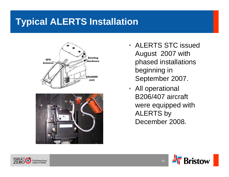### **Typical ALERTS Installation**





- ALERTS STC issued August 2007 with phased installations beginning in September 2007.
- All operational B206/407 aircraft were equipped with ALERTS by December 2008.



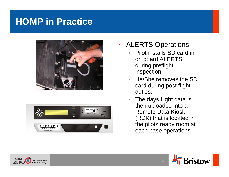### **HOMP in Practice**





- $\bullet$  ALERTS Operations
	- • Pilot installs SD card in on board ALERTS during preflight inspection.
	- He/She removes the SD card during post flight duties.
	- $\bullet$  The days flight data is then uploaded into a Remote Data Kiosk (RDK) that is located in the pilots ready room at each base operations.



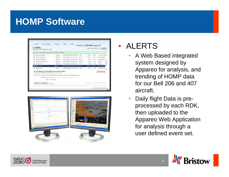### **HOMP Software**

|   | (1.12MB)<br>Download   Archive   Delete   Show Notes |             |                        |       | Validate Selected Events |      | Submit        |
|---|------------------------------------------------------|-------------|------------------------|-------|--------------------------|------|---------------|
|   | Success! The selected event(s) have been updated.    |             |                        |       |                          |      |               |
|   | <b>Excessive Bank</b>                                | Medium      | 08/10/2006 19:14:25.25 | 3.75  | 0.00                     | 0.05 | Unchecked A   |
| ଇ | Excessive Bank                                       | Medium      | 08/10/2006 19:21:38.74 | 2.00  | 0.00                     | 0.03 | Unchecked     |
|   | Excessive decent                                     | Medium.     | 08/10/2006 19:27:01.00 | 60.50 | 84.00                    | 1.54 | Unchecked     |
|   | <b>Excessive Decent 2</b>                            | Medium      | 08/10/2006 19:27:47.25 | 19.50 | 17.00                    | 1.26 | Valid         |
| ☞ | Fast Hover                                           | Medium      | 08/10/2006 19:29:41 75 | 11.75 | 11.00                    | 2.34 | Valid         |
|   | Early Turn                                           | <b>High</b> | 08/10/2006 19:40:49.25 | 5.25  | 2.00                     | 0.51 | Unchecked     |
|   | Early Turn                                           | High        | 08/10/2006 19:43:38.75 | 2.25  | 1.00                     | 0.55 | Unchecked     |
|   | Event Starting 08/10/2006 19:40:49.25 (GMT)          |             |                        |       |                          |      | High Severity |



#### • ALERTS

- A Web Based integrated system designed by Appareo for analysis, and trending of HOMP data for our Bell 206 and 407 aircraft.
- • Daily flight Data is preprocessed by each RDK, then uploaded to the Appareo Web Application for analysis through a user defined event set.



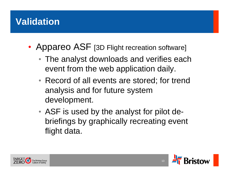### **Validation**

- $\bullet$ • Appareo ASF [3D Flight recreation software]
	- The analyst downloads and verifies each event from the web application daily.
	- Record of all events are stored; for trend analysis and for future system development.
	- ASF is used by the analyst for pilot debriefings by graphically recreating event flight data.



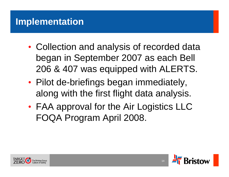### **Implementation**

- $\bullet$  Collection and analysis of recorded data began in September 2007 as each Bell 206 & 407 was equipped with ALERTS.
- $\bullet$ • Pilot de-briefings began immediately, along with the first flight data analysis.
- $\bullet$  FAA approval for the Air Logistics LLC FOQA Program April 2008.



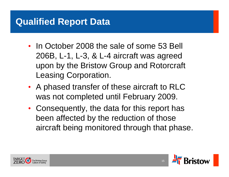### **Qualified Report Data**

- In October 2008 the sale of some 53 Bell 206B, L-1, L-3, & L-4 aircraft was agreed upon by the Bristow Group and Rotorcraft Leasing Corporation.
- A phased transfer of these aircraft to RLC was not completed until February 2009.
- Consequently, the data for this report has been affected by the reduction of those aircraft being monitored through that phase.



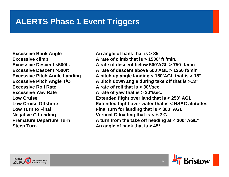#### **ALERTS Phase 1 Event Triggers**

**Excessive Bank Angle**  An angle of bank that is  $> 35^{\circ}$ **Excessive Roll Rate A rate of roll that is > 30°/sec. Excessive Yaw Rate A rate of yaw that is > 30°/sec. Steep Turn An angle of bank that is > 45°**

Excessive climb **A** rate of climb that is > 1500' ft./min. **Excessive Descent <500ft. A rate of descent below 500'AGL > 750 ft/minExcessive Descent >500ft A rate of descent above 500'AGL > 1250 ft/minExcessive Pitch Angle Landing A pitch up angle landing < 150'AGL that is > 18° Excessive Pitch Angle T/O A pitch down angle during take off that is >13° Low Cruise Extended flight over land that is < 250' AGL Low Cruise Offshore Extended flight over water that is < HSAC altitudes Low Turn to Final Final turn for landing that is < 300' AGL Negative G Loading Vertical G loading that is < +.2 G Premature Departure Turn A turn from the take off heading at < 300' AGL\***



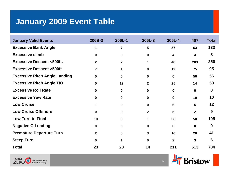### **January 2009 Event Table**

| <b>January Valid Events</b>          | 206B-3         | 206L-1         | 206L-3       | 206L-4         | 407          | <b>Total</b> |
|--------------------------------------|----------------|----------------|--------------|----------------|--------------|--------------|
| <b>Excessive Bank Angle</b>          | 1              | $\overline{7}$ | 5            | 57             | 63           | 133          |
| <b>Excessive climb</b>               | $\bf{0}$       | $\mathbf{0}$   | $\mathbf{0}$ | 4              | 4            | 8            |
| <b>Excessive Descent &lt;500ft.</b>  | $\mathbf{2}$   | $\mathbf{2}$   |              | 48             | 203          | 256          |
| <b>Excessive Descent &gt;500ft</b>   | $\overline{7}$ |                | $\bf{0}$     | 12             | 75           | 95           |
| <b>Excessive Pitch Angle Landing</b> | $\mathbf{0}$   | 0              | 0            | $\mathbf 0$    | 56           | 56           |
| <b>Excessive Pitch Angle T/O</b>     | $\bf{0}$       | 12             | $\mathbf{2}$ | 25             | 14           | 53           |
| <b>Excessive Roll Rate</b>           | $\bf{0}$       | $\bf{0}$       | $\bf{0}$     | $\mathbf 0$    | $\mathbf 0$  | $\bf{0}$     |
| <b>Excessive Yaw Rate</b>            | $\mathbf{0}$   | 0              | $\bf{0}$     | $\mathbf 0$    | 10           | 10           |
| <b>Low Cruise</b>                    |                | <sup>0</sup>   | $\mathbf{0}$ | 6              | 5            | 12           |
| <b>Low Cruise Offshore</b>           | $\bf{0}$       | <sup>0</sup>   | $\mathbf{2}$ | 5              | $\mathbf{2}$ | 9            |
| <b>Low Turn to Final</b>             | 10             | <sup>0</sup>   |              | 36             | 58           | 105          |
| <b>Negative G Loading</b>            | $\bf{0}$       | $\mathbf{0}$   | $\mathbf 0$  | $\mathbf 0$    | $\mathbf 0$  | $\bf{0}$     |
| <b>Premature Departure Turn</b>      | $\mathbf{2}$   | n.             | 3            | 16             | 20           | 41           |
| <b>Steep Turn</b>                    | $\mathbf{0}$   |                | $\Omega$     | $\overline{2}$ | 3            | 6            |
| <b>Total</b>                         | 23             | 23             | 14           | 211            | 513          | 784          |



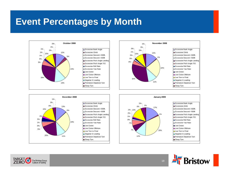### **Event Percentages by Month**











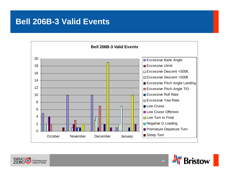#### **Bell 206B-3 Valid Events**





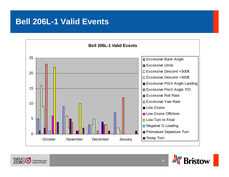#### **Bell 206L-1 Valid Events**





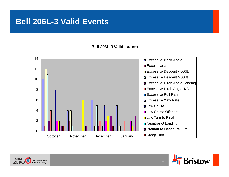#### **Bell 206L-3 Valid Events**





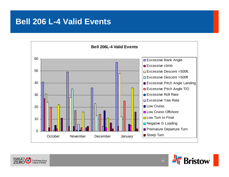#### **Bell 206 L-4 Valid Events**





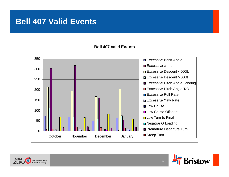#### **Bell 407 Valid Events**





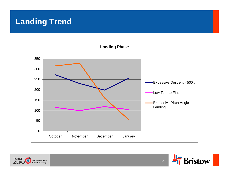#### **Landing Trend**





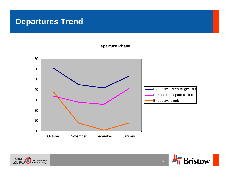#### **Departures Trend**





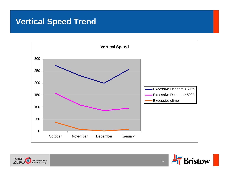#### **Vertical Speed Trend**



![](_page_25_Picture_2.jpeg)

![](_page_25_Picture_3.jpeg)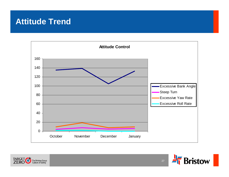#### **Attitude Trend**

![](_page_26_Figure_1.jpeg)

![](_page_26_Picture_2.jpeg)

![](_page_26_Picture_3.jpeg)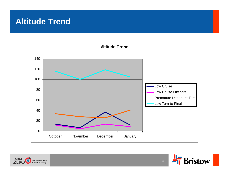#### **Altitude Trend**

![](_page_27_Figure_1.jpeg)

![](_page_27_Picture_2.jpeg)

![](_page_27_Picture_3.jpeg)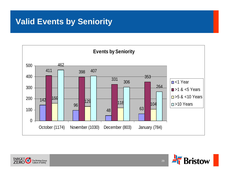#### **Valid Events by Seniority**

![](_page_28_Figure_1.jpeg)

![](_page_28_Picture_2.jpeg)

![](_page_28_Picture_3.jpeg)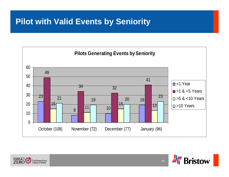#### **Pilot with Valid Events by Seniority**

![](_page_29_Figure_1.jpeg)

![](_page_29_Picture_2.jpeg)

![](_page_29_Picture_3.jpeg)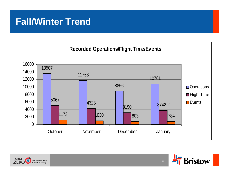### **Fall/Winter Trend**

![](_page_30_Figure_1.jpeg)

![](_page_30_Picture_2.jpeg)

![](_page_30_Picture_3.jpeg)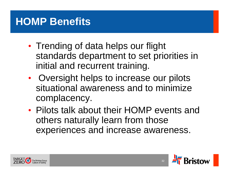# **HOMP Benefits**

- $\bullet$ • Trending of data helps our flight standards department to set priorities in initial and recurrent training.
- $\bullet$ • Oversight helps to increase our pilots situational awareness and to minimize complacency.
- Pilots talk about their HOMP events and others naturally learn from those experiences and increase awareness.

![](_page_31_Picture_4.jpeg)

![](_page_31_Picture_5.jpeg)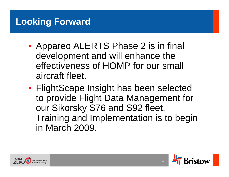### **Looking Forward**

- $\bullet$ • Appareo ALERTS Phase 2 is in final development and will enhance the effectiveness of HOMP for our small aircraft fleet.
- $\bullet$  FlightScape Insight has been selected to provide Flight Data Management for our Sikorsky S76 and S92 fleet. Training and Implementation is to begin in March 2009.

![](_page_32_Picture_3.jpeg)

![](_page_32_Picture_4.jpeg)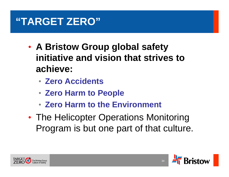# **"TARGET ZERO"**

- $\bullet$  **A Bristow Group global safety initiative and vision that strives to achieve:**
	- **Zero Accidents**
	- **Zero Harm to People**
	- **Zero Harm to the Environment**
- $\bullet$ • The Helicopter Operations Monitoring Program is but one part of that culture.

![](_page_33_Picture_6.jpeg)

![](_page_33_Picture_7.jpeg)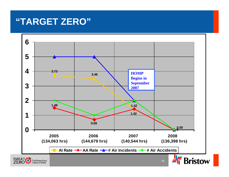### **"TARGET ZERO"**

![](_page_34_Figure_1.jpeg)